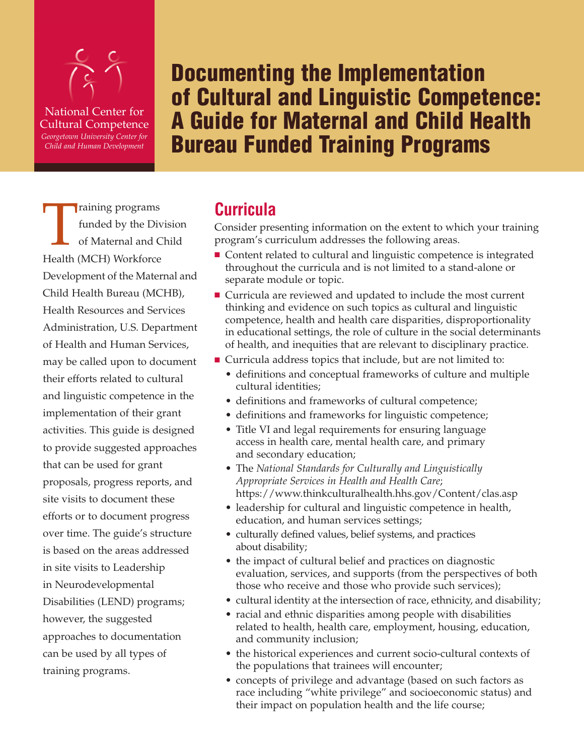

National Center for Cultural Competence *Georgetown University Center for Child and Human Development*

**Documenting the Implementation of Cultural and Linguistic Competence: A Guide for Maternal and Child Health Bureau Funded Training Programs**

Training programs<br>
funded by the Div<br>
of Maternal and C<br>
Health (MCH) Workforce funded by the Division of Maternal and Child Development of the Maternal and Child Health Bureau (MCHB), Health Resources and Services Administration, U.S. Department of Health and Human Services, may be called upon to document their efforts related to cultural and linguistic competence in the implementation of their grant activities. This guide is designed to provide suggested approaches that can be used for grant proposals, progress reports, and site visits to document these efforts or to document progress over time. The guide's structure is based on the areas addressed in site visits to Leadership in Neurodevelopmental Disabilities (LEND) programs; however, the suggested approaches to documentation can be used by all types of training programs.

# **Curricula**

Consider presenting information on the extent to which your training program's curriculum addresses the following areas.

- Content related to cultural and linguistic competence is integrated throughout the curricula and is not limited to a stand-alone or separate module or topic.
- Curricula are reviewed and updated to include the most current thinking and evidence on such topics as cultural and linguistic competence, health and health care disparities, disproportionality in educational settings, the role of culture in the social determinants of health, and inequities that are relevant to disciplinary practice.
- Curricula address topics that include, but are not limited to:
	- definitions and conceptual frameworks of culture and multiple cultural identities;
	- definitions and frameworks of cultural competence;
	- definitions and frameworks for linguistic competence;
	- Title VI and legal requirements for ensuring language access in health care, mental health care, and primary and secondary education;
	- The *National Standards for Culturally and Linguistically Appropriate Services in Health and Health Care*; https://www.thinkculturalhealth.hhs.gov/Content/clas.asp
	- leadership for cultural and linguistic competence in health, education, and human services settings;
	- culturally defined values, belief systems, and practices about disability;
	- the impact of cultural belief and practices on diagnostic evaluation, services, and supports (from the perspectives of both those who receive and those who provide such services);
	- cultural identity at the intersection of race, ethnicity, and disability;
	- racial and ethnic disparities among people with disabilities related to health, health care, employment, housing, education, and community inclusion;
	- the historical experiences and current socio-cultural contexts of the populations that trainees will encounter;
	- concepts of privilege and advantage (based on such factors as race including "white privilege" and socioeconomic status) and their impact on population health and the life course;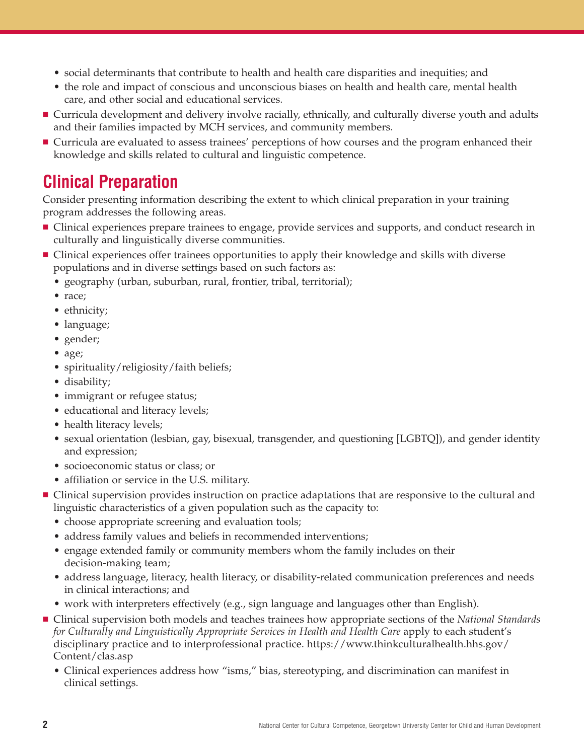- social determinants that contribute to health and health care disparities and inequities; and
- the role and impact of conscious and unconscious biases on health and health care, mental health care, and other social and educational services.
- **■** Curricula development and delivery involve racially, ethnically, and culturally diverse youth and adults and their families impacted by MCH services, and community members.
- Curricula are evaluated to assess trainees' perceptions of how courses and the program enhanced their knowledge and skills related to cultural and linguistic competence.

# **Clinical Preparation**

Consider presenting information describing the extent to which clinical preparation in your training program addresses the following areas.

- Clinical experiences prepare trainees to engage, provide services and supports, and conduct research in culturally and linguistically diverse communities.
- Clinical experiences offer trainees opportunities to apply their knowledge and skills with diverse populations and in diverse settings based on such factors as:
	- geography (urban, suburban, rural, frontier, tribal, territorial);
	- race;
	- ethnicity;
	- language;
	- gender;
	- age;
	- spirituality/religiosity/faith beliefs;
	- disability;
	- immigrant or refugee status;
	- educational and literacy levels;
	- health literacy levels;
	- sexual orientation (lesbian, gay, bisexual, transgender, and questioning [LGBTQ]), and gender identity and expression;
	- socioeconomic status or class; or
	- affiliation or service in the U.S. military.
- Clinical supervision provides instruction on practice adaptations that are responsive to the cultural and linguistic characteristics of a given population such as the capacity to:
	- choose appropriate screening and evaluation tools;
	- address family values and beliefs in recommended interventions;
	- engage extended family or community members whom the family includes on their decision-making team;
	- address language, literacy, health literacy, or disability-related communication preferences and needs in clinical interactions; and
	- work with interpreters effectively (e.g., sign language and languages other than English).
- Clinical supervision both models and teaches trainees how appropriate sections of the *National Standards for Culturally and Linguistically Appropriate Services in Health and Health Care* apply to each student's disciplinary practice and to interprofessional practice. https://www.thinkculturalhealth.hhs.gov/ Content/clas.asp
	- Clinical experiences address how "isms," bias, stereotyping, and discrimination can manifest in clinical settings.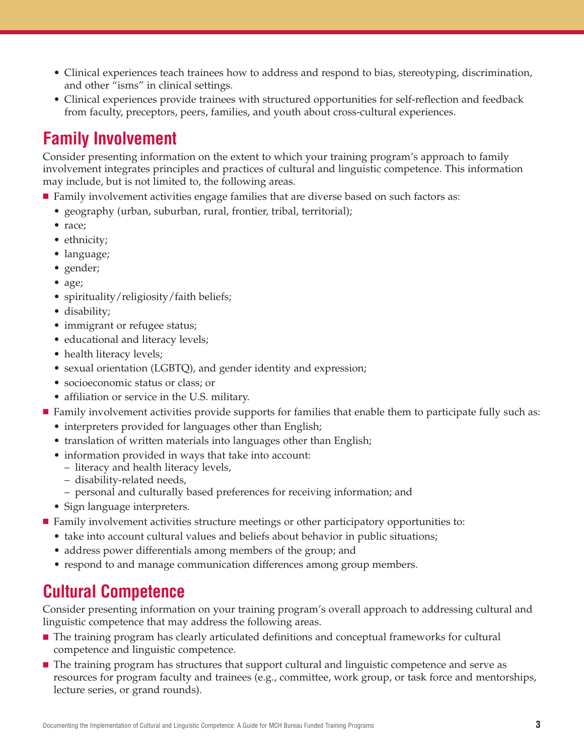- Clinical experiences teach trainees how to address and respond to bias, stereotyping, discrimination, and other "isms" in clinical settings.
- Clinical experiences provide trainees with structured opportunities for self-reflection and feedback from faculty, preceptors, peers, families, and youth about cross-cultural experiences.

# **Family Involvement**

Consider presenting information on the extent to which your training program's approach to family involvement integrates principles and practices of cultural and linguistic competence. This information may include, but is not limited to, the following areas.

- Family involvement activities engage families that are diverse based on such factors as:
	- geography (urban, suburban, rural, frontier, tribal, territorial);
	- race;
	- ethnicity;
	- language;
	- gender;
	- age;
	- spirituality/religiosity/faith beliefs;
	- disability;
	- immigrant or refugee status;
	- educational and literacy levels;
	- health literacy levels;
	- sexual orientation (LGBTQ), and gender identity and expression;
	- socioeconomic status or class; or
	- affiliation or service in the U.S. military.
- Family involvement activities provide supports for families that enable them to participate fully such as:
	- interpreters provided for languages other than English;
	- translation of written materials into languages other than English;
	- information provided in ways that take into account:
	- literacy and health literacy levels,
	- disability-related needs,
	- personal and culturally based preferences for receiving information; and
	- Sign language interpreters.
- Family involvement activities structure meetings or other participatory opportunities to:
	- take into account cultural values and beliefs about behavior in public situations;
	- address power differentials among members of the group; and
	- respond to and manage communication differences among group members.

# **Cultural Competence**

Consider presenting information on your training program's overall approach to addressing cultural and linguistic competence that may address the following areas.

- The training program has clearly articulated definitions and conceptual frameworks for cultural competence and linguistic competence.
- The training program has structures that support cultural and linguistic competence and serve as resources for program faculty and trainees (e.g., committee, work group, or task force and mentorships, lecture series, or grand rounds).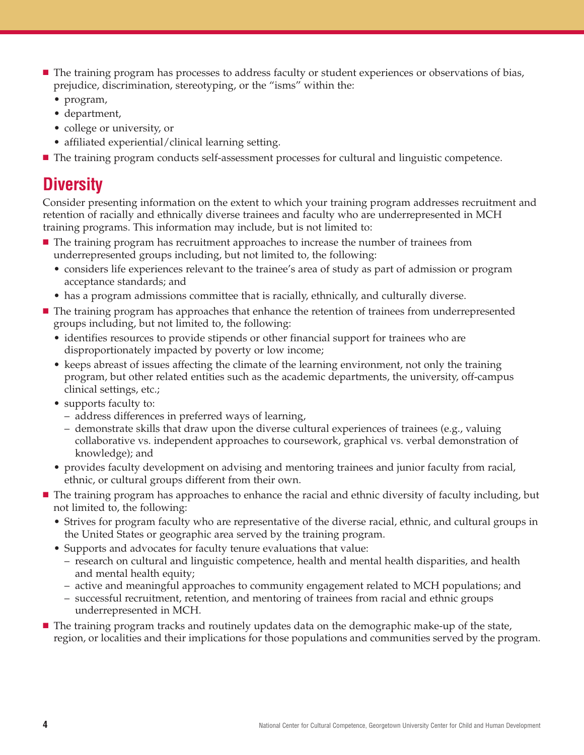- The training program has processes to address faculty or student experiences or observations of bias, prejudice, discrimination, stereotyping, or the "isms" within the:
	- program,
	- department,
	- college or university, or
	- affiliated experiential/clinical learning setting.
- The training program conducts self-assessment processes for cultural and linguistic competence.

### **Diversity**

Consider presenting information on the extent to which your training program addresses recruitment and retention of racially and ethnically diverse trainees and faculty who are underrepresented in MCH training programs. This information may include, but is not limited to:

- The training program has recruitment approaches to increase the number of trainees from underrepresented groups including, but not limited to, the following:
	- considers life experiences relevant to the trainee's area of study as part of admission or program acceptance standards; and
	- has a program admissions committee that is racially, ethnically, and culturally diverse.
- The training program has approaches that enhance the retention of trainees from underrepresented groups including, but not limited to, the following:
	- identifies resources to provide stipends or other financial support for trainees who are disproportionately impacted by poverty or low income;
	- keeps abreast of issues affecting the climate of the learning environment, not only the training program, but other related entities such as the academic departments, the university, off-campus clinical settings, etc.;
	- supports faculty to:
		- address differences in preferred ways of learning,
		- demonstrate skills that draw upon the diverse cultural experiences of trainees (e.g., valuing collaborative vs. independent approaches to coursework, graphical vs. verbal demonstration of knowledge); and
	- provides faculty development on advising and mentoring trainees and junior faculty from racial, ethnic, or cultural groups different from their own.

■ The training program has approaches to enhance the racial and ethnic diversity of faculty including, but not limited to, the following:

- Strives for program faculty who are representative of the diverse racial, ethnic, and cultural groups in the United States or geographic area served by the training program.
- Supports and advocates for faculty tenure evaluations that value:
	- research on cultural and linguistic competence, health and mental health disparities, and health and mental health equity;
	- active and meaningful approaches to community engagement related to MCH populations; and
	- successful recruitment, retention, and mentoring of trainees from racial and ethnic groups underrepresented in MCH.
- The training program tracks and routinely updates data on the demographic make-up of the state, region, or localities and their implications for those populations and communities served by the program.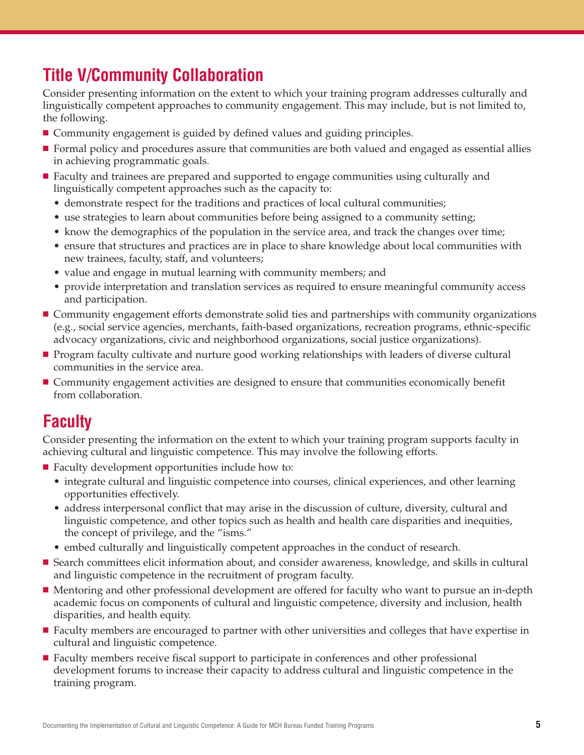# **Title V/Community Collaboration**

Consider presenting information on the extent to which your training program addresses culturally and linguistically competent approaches to community engagement. This may include, but is not limited to, the following.

- **■** Community engagement is guided by defined values and guiding principles.
- Formal policy and procedures assure that communities are both valued and engaged as essential allies in achieving programmatic goals.
- Faculty and trainees are prepared and supported to engage communities using culturally and linguistically competent approaches such as the capacity to:
	- demonstrate respect for the traditions and practices of local cultural communities;
	- use strategies to learn about communities before being assigned to a community setting;
	- know the demographics of the population in the service area, and track the changes over time;
	- ensure that structures and practices are in place to share knowledge about local communities with new trainees, faculty, staff, and volunteers;
	- value and engage in mutual learning with community members; and
	- provide interpretation and translation services as required to ensure meaningful community access and participation.
- Community engagement efforts demonstrate solid ties and partnerships with community organizations (e.g., social service agencies, merchants, faith-based organizations, recreation programs, ethnic-specific advocacy organizations, civic and neighborhood organizations, social justice organizations).
- Program faculty cultivate and nurture good working relationships with leaders of diverse cultural communities in the service area.
- **■** Community engagement activities are designed to ensure that communities economically benefit from collaboration.

### **Faculty**

Consider presenting the information on the extent to which your training program supports faculty in achieving cultural and linguistic competence. This may involve the following efforts.

- Faculty development opportunities include how to:
	- integrate cultural and linguistic competence into courses, clinical experiences, and other learning opportunities effectively.
	- address interpersonal conflict that may arise in the discussion of culture, diversity, cultural and linguistic competence, and other topics such as health and health care disparities and inequities, the concept of privilege, and the "isms."
	- embed culturally and linguistically competent approaches in the conduct of research.
- Search committees elicit information about, and consider awareness, knowledge, and skills in cultural and linguistic competence in the recruitment of program faculty.
- Mentoring and other professional development are offered for faculty who want to pursue an in-depth academic focus on components of cultural and linguistic competence, diversity and inclusion, health disparities, and health equity.
- Faculty members are encouraged to partner with other universities and colleges that have expertise in cultural and linguistic competence.
- Faculty members receive fiscal support to participate in conferences and other professional development forums to increase their capacity to address cultural and linguistic competence in the training program.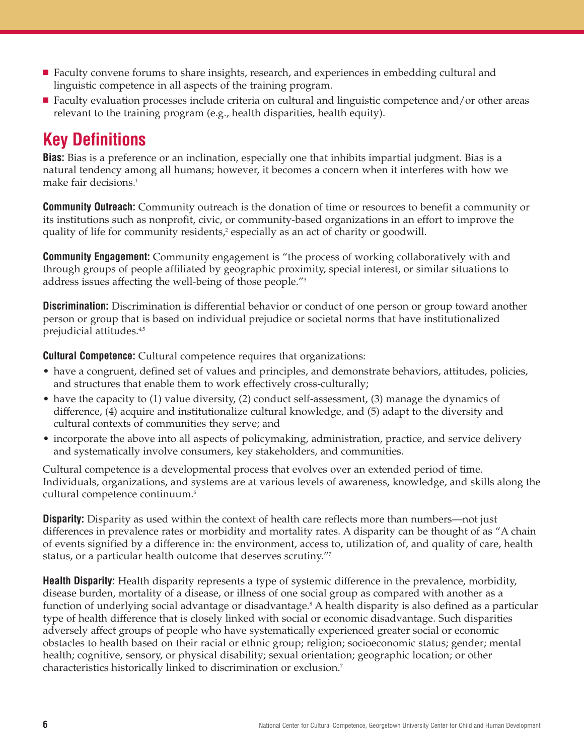- Faculty convene forums to share insights, research, and experiences in embedding cultural and linguistic competence in all aspects of the training program.
- Faculty evaluation processes include criteria on cultural and linguistic competence and/or other areas relevant to the training program (e.g., health disparities, health equity).

# **Key Definitions**

**Bias:** Bias is a preference or an inclination, especially one that inhibits impartial judgment. Bias is a natural tendency among all humans; however, it becomes a concern when it interferes with how we make fair decisions. 1

**Community Outreach:** Community outreach is the donation of time or resources to benefit a community or its institutions such as nonprofit, civic, or community-based organizations in an effort to improve the quality of life for community residents, <sup>2</sup> especially as an act of charity or goodwill.

**Community Engagement:** Community engagement is "the process of working collaboratively with and through groups of people affiliated by geographic proximity, special interest, or similar situations to address issues affecting the well-being of those people."3

**Discrimination:** Discrimination is differential behavior or conduct of one person or group toward another person or group that is based on individual prejudice or societal norms that have institutionalized prejudicial attitudes. 4,5

**Cultural Competence:** Cultural competence requires that organizations:

- have a congruent, defined set of values and principles, and demonstrate behaviors, attitudes, policies, and structures that enable them to work effectively cross-culturally;
- have the capacity to (1) value diversity, (2) conduct self-assessment, (3) manage the dynamics of difference, (4) acquire and institutionalize cultural knowledge, and (5) adapt to the diversity and cultural contexts of communities they serve; and
- incorporate the above into all aspects of policymaking, administration, practice, and service delivery and systematically involve consumers, key stakeholders, and communities.

Cultural competence is a developmental process that evolves over an extended period of time. Individuals, organizations, and systems are at various levels of awareness, knowledge, and skills along the cultural competence continuum. 6

**Disparity:** Disparity as used within the context of health care reflects more than numbers—not just differences in prevalence rates or morbidity and mortality rates. A disparity can be thought of as "A chain of events signified by a difference in: the environment, access to, utilization of, and quality of care, health status, or a particular health outcome that deserves scrutiny."7

**Health Disparity:** Health disparity represents a type of systemic difference in the prevalence, morbidity, disease burden, mortality of a disease, or illness of one social group as compared with another as a function of underlying social advantage or disadvantage. <sup>8</sup> A health disparity is also defined as a particular type of health difference that is closely linked with social or economic disadvantage. Such disparities adversely affect groups of people who have systematically experienced greater social or economic obstacles to health based on their racial or ethnic group; religion; socioeconomic status; gender; mental health; cognitive, sensory, or physical disability; sexual orientation; geographic location; or other characteristics historically linked to discrimination or exclusion. 7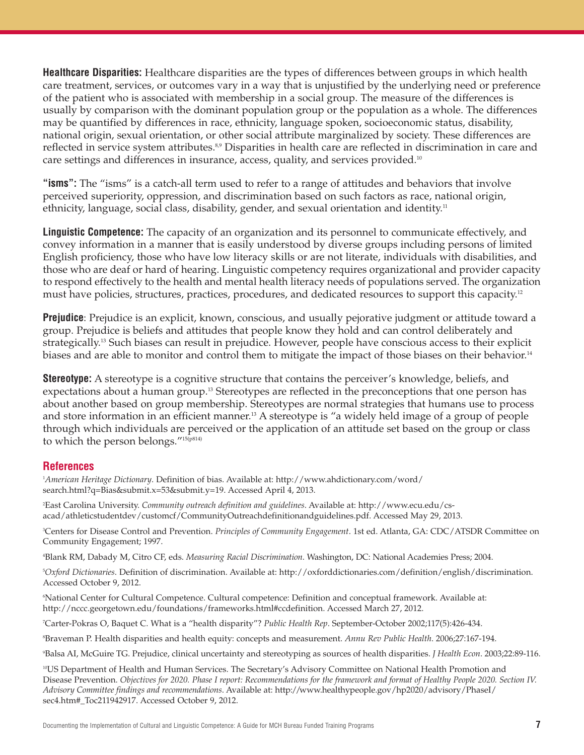**Healthcare Disparities:** Healthcare disparities are the types of differences between groups in which health care treatment, services, or outcomes vary in a way that is unjustified by the underlying need or preference of the patient who is associated with membership in a social group. The measure of the differences is usually by comparison with the dominant population group or the population as a whole. The differences may be quantified by differences in race, ethnicity, language spoken, socioeconomic status, disability, national origin, sexual orientation, or other social attribute marginalized by society. These differences are reflected in service system attributes.<sup>8,9</sup> Disparities in health care are reflected in discrimination in care and care settings and differences in insurance, access, quality, and services provided.<sup>10</sup>

**"isms":** The "isms" is a catch-all term used to refer to a range of attitudes and behaviors that involve perceived superiority, oppression, and discrimination based on such factors as race, national origin, ethnicity, language, social class, disability, gender, and sexual orientation and identity.<sup>11</sup>

**Linguistic Competence:** The capacity of an organization and its personnel to communicate effectively, and convey information in a manner that is easily understood by diverse groups including persons of limited English proficiency, those who have low literacy skills or are not literate, individuals with disabilities, and those who are deaf or hard of hearing. Linguistic competency requires organizational and provider capacity to respond effectively to the health and mental health literacy needs of populations served. The organization must have policies, structures, practices, procedures, and dedicated resources to support this capacity. 12

**Prejudice**: Prejudice is an explicit, known, conscious, and usually pejorative judgment or attitude toward a group. Prejudice is beliefs and attitudes that people know they hold and can control deliberately and strategically. <sup>13</sup> Such biases can result in prejudice. However, people have conscious access to their explicit biases and are able to monitor and control them to mitigate the impact of those biases on their behavior.<sup>14</sup>

**Stereotype:** A stereotype is a cognitive structure that contains the perceiver's knowledge, beliefs, and expectations about a human group. <sup>13</sup> Stereotypes are reflected in the preconceptions that one person has about another based on group membership. Stereotypes are normal strategies that humans use to process and store information in an efficient manner. <sup>13</sup> A stereotype is "a widely held image of a group of people through which individuals are perceived or the application of an attitude set based on the group or class to which the person belongs."15(p814)

#### **References**

1 *American Heritage Dictionary*. Definition of bias. Available at: http://www.ahdictionary.com/word/ search.html?q=Bias&submit.x=53&submit.y=19. Accessed April 4, 2013.

2 East Carolina University. *Community outreach definition and guidelines*. Available at: http://www.ecu.edu/csacad/athleticstudentdev/customcf/CommunityOutreachdefinitionandguidelines.pdf. Accessed May 29, 2013.

3 Centers for Disease Control and Prevention. *Principles of Community Engagement*. 1st ed. Atlanta, GA: CDC/ATSDR Committee on Community Engagement; 1997.

4 Blank RM, Dabady M, Citro CF, eds. *Measuring Racial Discrimination*. Washington, DC: National Academies Press; 2004.

5 *Oxford Dictionaries*. Definition of discrimination. Available at: http://oxforddictionaries.com/definition/english/discrimination. Accessed October 9, 2012.

6 National Center for Cultural Competence. Cultural competence: Definition and conceptual framework. Available at: http://nccc.georgetown.edu/foundations/frameworks.html#ccdefinition. Accessed March 27, 2012.

7 Carter-Pokras O, Baquet C. What is a "health disparity"? *Public Health Rep*. September-October 2002;117(5):426-434.

8 Braveman P. Health disparities and health equity: concepts and measurement. *Annu Rev Public Health*. 2006;27:167-194.

9 Balsa AI, McGuire TG. Prejudice, clinical uncertainty and stereotyping as sources of health disparities. *J Health Econ*. 2003;22:89-116.

10 US Department of Health and Human Services. The Secretary's Advisory Committee on National Health Promotion and Disease Prevention. Objectives for 2020. Phase I report: Recommendations for the framework and format of Healthy People 2020. Section IV. *Advisory Committee findings and recommendations*. Available at: http://www.healthypeople.gov/hp2020/advisory/PhaseI/ sec4.htm#\_Toc211942917. Accessed October 9, 2012.